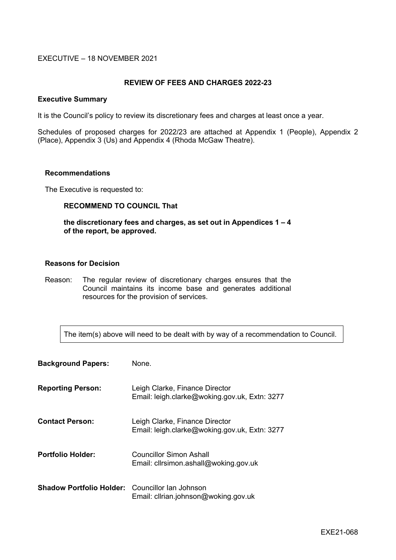## EXECUTIVE – 18 NOVEMBER 2021

## **REVIEW OF FEES AND CHARGES 2022-23**

#### **Executive Summary**

It is the Council's policy to review its discretionary fees and charges at least once a year.

Schedules of proposed charges for 2022/23 are attached at Appendix 1 (People), Appendix 2 (Place), Appendix 3 (Us) and Appendix 4 (Rhoda McGaw Theatre).

## **Recommendations**

The Executive is requested to:

#### **RECOMMEND TO COUNCIL That**

#### **the discretionary fees and charges, as set out in Appendices 1 – 4 of the report, be approved.**

#### **Reasons for Decision**

Reason: The regular review of discretionary charges ensures that the Council maintains its income base and generates additional resources for the provision of services.

The item(s) above will need to be dealt with by way of a recommendation to Council.

| <b>Background Papers:</b>                              | None.                                                                           |
|--------------------------------------------------------|---------------------------------------------------------------------------------|
| <b>Reporting Person:</b>                               | Leigh Clarke, Finance Director<br>Email: leigh.clarke@woking.gov.uk, Extn: 3277 |
| <b>Contact Person:</b>                                 | Leigh Clarke, Finance Director<br>Email: leigh.clarke@woking.gov.uk, Extn: 3277 |
| <b>Portfolio Holder:</b>                               | Councillor Simon Ashall<br>Email: cllrsimon.ashall@woking.gov.uk                |
| <b>Shadow Portfolio Holder:</b> Councillor Ian Johnson | Email: clirian.johnson@woking.gov.uk                                            |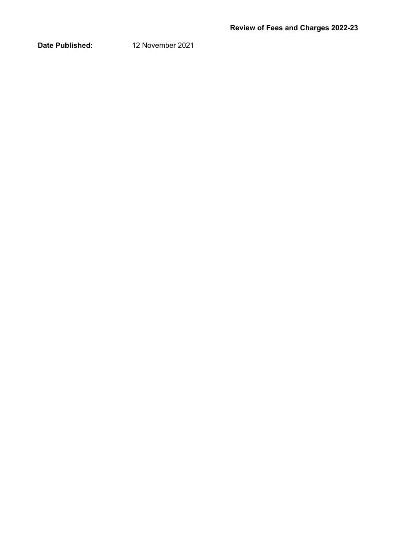**Date Published:** 12 November 2021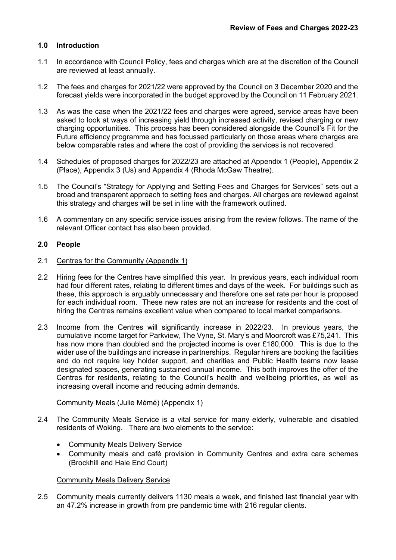# **1.0 Introduction**

- 1.1 In accordance with Council Policy, fees and charges which are at the discretion of the Council are reviewed at least annually.
- 1.2 The fees and charges for 2021/22 were approved by the Council on 3 December 2020 and the forecast yields were incorporated in the budget approved by the Council on 11 February 2021.
- 1.3 As was the case when the 2021/22 fees and charges were agreed, service areas have been asked to look at ways of increasing yield through increased activity, revised charging or new charging opportunities. This process has been considered alongside the Council's Fit for the Future efficiency programme and has focussed particularly on those areas where charges are below comparable rates and where the cost of providing the services is not recovered.
- 1.4 Schedules of proposed charges for 2022/23 are attached at Appendix 1 (People), Appendix 2 (Place), Appendix 3 (Us) and Appendix 4 (Rhoda McGaw Theatre).
- 1.5 The Council's "Strategy for Applying and Setting Fees and Charges for Services" sets out a broad and transparent approach to setting fees and charges. All charges are reviewed against this strategy and charges will be set in line with the framework outlined.
- 1.6 A commentary on any specific service issues arising from the review follows. The name of the relevant Officer contact has also been provided.

## **2.0 People**

- 2.1 Centres for the Community (Appendix 1)
- 2.2 Hiring fees for the Centres have simplified this year. In previous years, each individual room had four different rates, relating to different times and days of the week. For buildings such as these, this approach is arguably unnecessary and therefore one set rate per hour is proposed for each individual room. These new rates are not an increase for residents and the cost of hiring the Centres remains excellent value when compared to local market comparisons.
- 2.3 Income from the Centres will significantly increase in 2022/23. In previous years, the cumulative income target for Parkview, The Vyne, St. Mary's and Moorcroft was £75,241. This has now more than doubled and the projected income is over £180,000. This is due to the wider use of the buildings and increase in partnerships. Regular hirers are booking the facilities and do not require key holder support, and charities and Public Health teams now lease designated spaces, generating sustained annual income. This both improves the offer of the Centres for residents, relating to the Council's health and wellbeing priorities, as well as increasing overall income and reducing admin demands.

#### Community Meals (Julie Mémé) (Appendix 1)

- 2.4 The Community Meals Service is a vital service for many elderly, vulnerable and disabled residents of Woking. There are two elements to the service:
	- Community Meals Delivery Service
	- Community meals and café provision in Community Centres and extra care schemes (Brockhill and Hale End Court)

## Community Meals Delivery Service

2.5 Community meals currently delivers 1130 meals a week, and finished last financial year with an 47.2% increase in growth from pre pandemic time with 216 regular clients.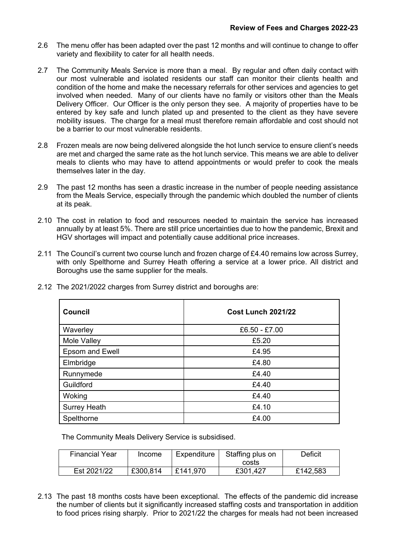- 2.6 The menu offer has been adapted over the past 12 months and will continue to change to offer variety and flexibility to cater for all health needs.
- 2.7 The Community Meals Service is more than a meal. By regular and often daily contact with our most vulnerable and isolated residents our staff can monitor their clients health and condition of the home and make the necessary referrals for other services and agencies to get involved when needed. Many of our clients have no family or visitors other than the Meals Delivery Officer. Our Officer is the only person they see. A majority of properties have to be entered by key safe and lunch plated up and presented to the client as they have severe mobility issues. The charge for a meal must therefore remain affordable and cost should not be a barrier to our most vulnerable residents.
- 2.8 Frozen meals are now being delivered alongside the hot lunch service to ensure client's needs are met and charged the same rate as the hot lunch service. This means we are able to deliver meals to clients who may have to attend appointments or would prefer to cook the meals themselves later in the day.
- 2.9 The past 12 months has seen a drastic increase in the number of people needing assistance from the Meals Service, especially through the pandemic which doubled the number of clients at its peak.
- 2.10 The cost in relation to food and resources needed to maintain the service has increased annually by at least 5%. There are still price uncertainties due to how the pandemic, Brexit and HGV shortages will impact and potentially cause additional price increases.
- 2.11 The Council's current two course lunch and frozen charge of £4.40 remains low across Surrey, with only Spelthorne and Surrey Heath offering a service at a lower price. All district and Boroughs use the same supplier for the meals.

| <b>Council</b>      | <b>Cost Lunch 2021/22</b> |
|---------------------|---------------------------|
| Waverley            | £6.50 - £7.00             |
| Mole Valley         | £5.20                     |
| Epsom and Ewell     | £4.95                     |
| Elmbridge           | £4.80                     |
| Runnymede           | £4.40                     |
| Guildford           | £4.40                     |
| Woking              | £4.40                     |
| <b>Surrey Heath</b> | £4.10                     |
| Spelthorne          | £4.00                     |

2.12 The 2021/2022 charges from Surrey district and boroughs are:

The Community Meals Delivery Service is subsidised.

| <b>Financial Year</b> | Income   | Expenditure | Staffing plus on | Deficit  |
|-----------------------|----------|-------------|------------------|----------|
|                       |          |             | costs            |          |
| Est 2021/22           | £300,814 | £141,970    | £301,427         | £142,583 |

2.13 The past 18 months costs have been exceptional. The effects of the pandemic did increase the number of clients but it significantly increased staffing costs and transportation in addition to food prices rising sharply. Prior to 2021/22 the charges for meals had not been increased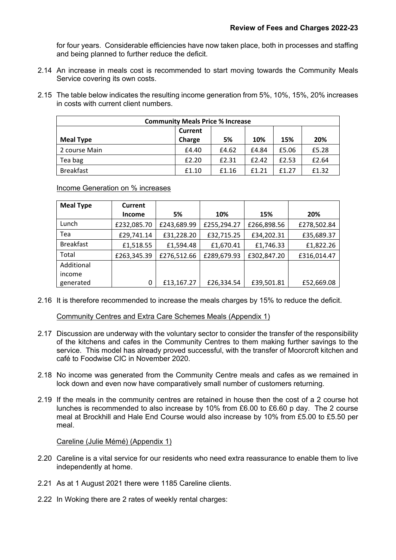for four years. Considerable efficiencies have now taken place, both in processes and staffing and being planned to further reduce the deficit.

- 2.14 An increase in meals cost is recommended to start moving towards the Community Meals Service covering its own costs.
- 2.15 The table below indicates the resulting income generation from 5%, 10%, 15%, 20% increases in costs with current client numbers.

| <b>Community Meals Price % Increase</b> |        |       |       |       |       |  |  |  |  |
|-----------------------------------------|--------|-------|-------|-------|-------|--|--|--|--|
| <b>Current</b>                          |        |       |       |       |       |  |  |  |  |
| <b>Meal Type</b>                        | Charge | 5%    | 10%   | 15%   | 20%   |  |  |  |  |
| 2 course Main                           | £4.40  | £4.62 | £4.84 | £5.06 | £5.28 |  |  |  |  |
| Tea bag                                 | £2.20  | £2.31 | £2.42 | £2.53 | £2.64 |  |  |  |  |
| <b>Breakfast</b>                        | £1.10  | £1.16 | f1.21 | f1.27 | £1.32 |  |  |  |  |

Income Generation on % increases

| <b>Meal Type</b> | <b>Current</b> |             |             |             |             |
|------------------|----------------|-------------|-------------|-------------|-------------|
|                  | <b>Income</b>  | 5%          | 10%         | 15%         | 20%         |
| Lunch            | £232,085.70    | £243,689.99 | £255,294.27 | £266,898.56 | £278,502.84 |
| Tea              | £29,741.14     | £31,228.20  | £32,715.25  | £34,202.31  | £35,689.37  |
| <b>Breakfast</b> | £1,518.55      | £1,594.48   | £1,670.41   | £1,746.33   | £1,822.26   |
| Total            | £263,345.39    | £276,512.66 | £289,679.93 | £302,847.20 | £316,014.47 |
| Additional       |                |             |             |             |             |
| income           |                |             |             |             |             |
| generated        | 0              | £13,167.27  | £26,334.54  | £39,501.81  | £52,669.08  |

2.16 It is therefore recommended to increase the meals charges by 15% to reduce the deficit.

Community Centres and Extra Care Schemes Meals (Appendix 1)

- 2.17 Discussion are underway with the voluntary sector to consider the transfer of the responsibility of the kitchens and cafes in the Community Centres to them making further savings to the service. This model has already proved successful, with the transfer of Moorcroft kitchen and café to Foodwise CIC in November 2020.
- 2.18 No income was generated from the Community Centre meals and cafes as we remained in lock down and even now have comparatively small number of customers returning.
- 2.19 If the meals in the community centres are retained in house then the cost of a 2 course hot lunches is recommended to also increase by 10% from £6.00 to £6.60 p day. The 2 course meal at Brockhill and Hale End Course would also increase by 10% from £5.00 to £5.50 per meal.

Careline (Julie Mémé) (Appendix 1)

- 2.20 Careline is a vital service for our residents who need extra reassurance to enable them to live independently at home.
- 2.21 As at 1 August 2021 there were 1185 Careline clients.
- 2.22 In Woking there are 2 rates of weekly rental charges: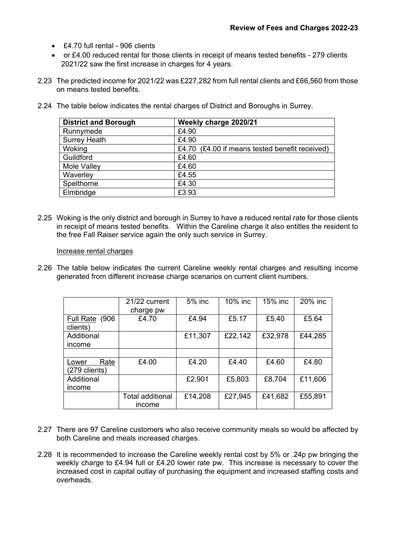- £4.70 full rental 906 clients
- or £4.00 reduced rental for those clients in receipt of means tested benefits 279 clients 2021/22 saw the first increase in charges for 4 years.
- 2.23 The predicted income for 2021/22 was £227,282 from full rental clients and £66,560 from those on means tested benefits.

| <b>District and Borough</b> | Weekly charge 2020/21                          |
|-----------------------------|------------------------------------------------|
| Runnymede                   | £4.90                                          |
| <b>Surrey Heath</b>         | £4.90                                          |
| Woking                      | £4.70 (£4.00 if means tested benefit received) |
| Guildford                   | £4.60                                          |
| Mole Valley                 | £4.60                                          |
| Waverley                    | £4.55                                          |
| Spelthorne                  | £4.30                                          |
| Elmbridge                   | £3.93                                          |

2.24 The table below indicates the rental charges of District and Boroughs in Surrey.

2.25 Woking is the only district and borough in Surrey to have a reduced rental rate for those clients in receipt of means tested benefits. Within the Careline charge it also entitles the resident to the free Fall Raiser service again the only such service in Surrey.

#### Increase rental charges

2.26 The table below indicates the current Careline weekly rental charges and resulting income generated from different increase charge scenarios on current client numbers.

|                                | 21/22 current<br>charge pw | 5% inc  | 10% inc | 15% inc | 20% inc |
|--------------------------------|----------------------------|---------|---------|---------|---------|
| Full Rate (906<br>clients)     | £4.70                      | £4.94   | £5.17   | £5.40   | £5.64   |
| Additional<br>income           |                            | £11,307 | £22,142 | £32,978 | £44,285 |
|                                |                            |         |         |         |         |
| Rate<br>Lower<br>(279 clients) | £4.00                      | £4.20   | £4.40   | £4.60   | £4.80   |
| Additional<br>income           |                            | £2,901  | £5,803  | £8,704  | £11,606 |
|                                | Total additional<br>income | £14,208 | £27,945 | £41,682 | £55,891 |

- 2.27 There are 97 Careline customers who also receive community meals so would be affected by both Careline and meals increased charges.
- 2.28 It is recommended to increase the Careline weekly rental cost by 5% or .24p pw bringing the weekly charge to £4.94 full or £4.20 lower rate pw. This increase is necessary to cover the increased cost in capital outlay of purchasing the equipment and increased staffing costs and overheads.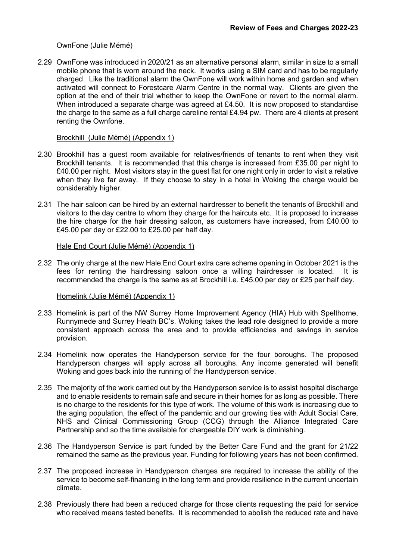### OwnFone (Julie Mémé)

2.29 OwnFone was introduced in 2020/21 as an alternative personal alarm, similar in size to a small mobile phone that is worn around the neck. It works using a SIM card and has to be regularly charged. Like the traditional alarm the OwnFone will work within home and garden and when activated will connect to Forestcare Alarm Centre in the normal way. Clients are given the option at the end of their trial whether to keep the OwnFone or revert to the normal alarm. When introduced a separate charge was agreed at £4.50. It is now proposed to standardise the charge to the same as a full charge careline rental £4.94 pw. There are 4 clients at present renting the Ownfone.

#### Brockhill (Julie Mémé) (Appendix 1)

- 2.30 Brookhill has a guest room available for relatives/friends of tenants to rent when they visit Brockhill tenants. It is recommended that this charge is increased from £35.00 per night to £40.00 per night. Most visitors stay in the guest flat for one night only in order to visit a relative when they live far away. If they choose to stay in a hotel in Woking the charge would be considerably higher.
- 2.31 The hair saloon can be hired by an external hairdresser to benefit the tenants of Brockhill and visitors to the day centre to whom they charge for the haircuts etc. It is proposed to increase the hire charge for the hair dressing saloon, as customers have increased, from £40.00 to £45.00 per day or £22.00 to £25.00 per half day.

## Hale End Court (Julie Mémé) (Appendix 1)

2.32 The only charge at the new Hale End Court extra care scheme opening in October 2021 is the fees for renting the hairdressing saloon once a willing hairdresser is located. It is recommended the charge is the same as at Brockhill i.e. £45.00 per day or £25 per half day.

#### Homelink (Julie Mémé) (Appendix 1)

- 2.33 Homelink is part of the NW Surrey Home Improvement Agency (HIA) Hub with Spelthorne, Runnymede and Surrey Heath BC's. Woking takes the lead role designed to provide a more consistent approach across the area and to provide efficiencies and savings in service provision.
- 2.34 Homelink now operates the Handyperson service for the four boroughs. The proposed Handyperson charges will apply across all boroughs. Any income generated will benefit Woking and goes back into the running of the Handyperson service.
- 2.35 The majority of the work carried out by the Handyperson service is to assist hospital discharge and to enable residents to remain safe and secure in their homes for as long as possible. There is no charge to the residents for this type of work. The volume of this work is increasing due to the aging population, the effect of the pandemic and our growing ties with Adult Social Care, NHS and Clinical Commissioning Group (CCG) through the Alliance Integrated Care Partnership and so the time available for chargeable DIY work is diminishing.
- 2.36 The Handyperson Service is part funded by the Better Care Fund and the grant for 21/22 remained the same as the previous year. Funding for following years has not been confirmed.
- 2.37 The proposed increase in Handyperson charges are required to increase the ability of the service to become self-financing in the long term and provide resilience in the current uncertain climate.
- 2.38 Previously there had been a reduced charge for those clients requesting the paid for service who received means tested benefits. It is recommended to abolish the reduced rate and have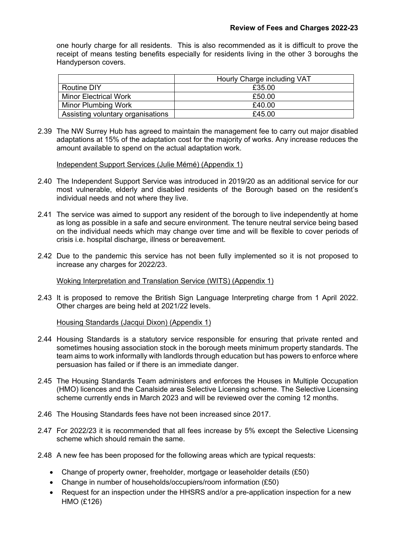one hourly charge for all residents. This is also recommended as it is difficult to prove the receipt of means testing benefits especially for residents living in the other 3 boroughs the Handyperson covers.

|                                   | Hourly Charge including VAT |
|-----------------------------------|-----------------------------|
| <b>Routine DIY</b>                | £35.00                      |
| <b>Minor Electrical Work</b>      | £50.00                      |
| Minor Plumbing Work               | £40.00                      |
| Assisting voluntary organisations | £45.00                      |

2.39 The NW Surrey Hub has agreed to maintain the management fee to carry out major disabled adaptations at 15% of the adaptation cost for the majority of works. Any increase reduces the amount available to spend on the actual adaptation work.

Independent Support Services (Julie Mémé) (Appendix 1)

- 2.40 The Independent Support Service was introduced in 2019/20 as an additional service for our most vulnerable, elderly and disabled residents of the Borough based on the resident's individual needs and not where they live.
- 2.41 The service was aimed to support any resident of the borough to live independently at home as long as possible in a safe and secure environment. The tenure neutral service being based on the individual needs which may change over time and will be flexible to cover periods of crisis i.e. hospital discharge, illness or bereavement.
- 2.42 Due to the pandemic this service has not been fully implemented so it is not proposed to increase any charges for 2022/23.

Woking Interpretation and Translation Service (WITS) (Appendix 1)

2.43 It is proposed to remove the British Sign Language Interpreting charge from 1 April 2022. Other charges are being held at 2021/22 levels.

Housing Standards (Jacqui Dixon) (Appendix 1)

- 2.44 Housing Standards is a statutory service responsible for ensuring that private rented and sometimes housing association stock in the borough meets minimum property standards. The team aims to work informally with landlords through education but has powers to enforce where persuasion has failed or if there is an immediate danger.
- 2.45 The Housing Standards Team administers and enforces the Houses in Multiple Occupation (HMO) licences and the Canalside area Selective Licensing scheme. The Selective Licensing scheme currently ends in March 2023 and will be reviewed over the coming 12 months.
- 2.46 The Housing Standards fees have not been increased since 2017.
- 2.47 For 2022/23 it is recommended that all fees increase by 5% except the Selective Licensing scheme which should remain the same.
- 2.48 A new fee has been proposed for the following areas which are typical requests:
	- Change of property owner, freeholder, mortgage or leaseholder details (£50)
	- Change in number of households/occupiers/room information (£50)
	- Request for an inspection under the HHSRS and/or a pre-application inspection for a new HMO (£126)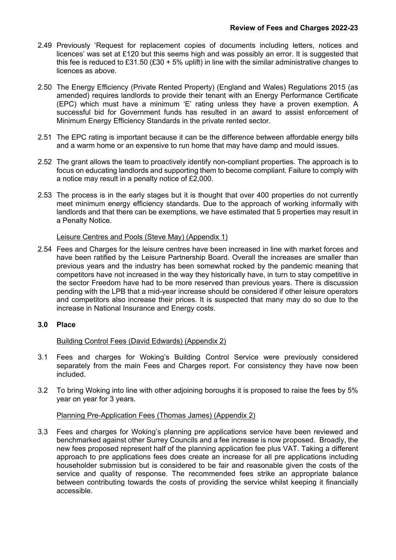- 2.49 Previously 'Request for replacement copies of documents including letters, notices and licences' was set at £120 but this seems high and was possibly an error. It is suggested that this fee is reduced to £31.50 (£30 + 5% uplift) in line with the similar administrative changes to licences as above.
- 2.50 The Energy Efficiency (Private Rented Property) (England and Wales) Regulations 2015 (as amended) requires landlords to provide their tenant with an Energy Performance Certificate (EPC) which must have a minimum 'E' rating unless they have a proven exemption. A successful bid for Government funds has resulted in an award to assist enforcement of Minimum Energy Efficiency Standards in the private rented sector.
- 2.51 The EPC rating is important because it can be the difference between affordable energy bills and a warm home or an expensive to run home that may have damp and mould issues.
- 2.52 The grant allows the team to proactively identify non-compliant properties. The approach is to focus on educating landlords and supporting them to become compliant. Failure to comply with a notice may result in a penalty notice of £2,000.
- 2.53 The process is in the early stages but it is thought that over 400 properties do not currently meet minimum energy efficiency standards. Due to the approach of working informally with landlords and that there can be exemptions, we have estimated that 5 properties may result in a Penalty Notice.

## Leisure Centres and Pools (Steve May) (Appendix 1)

2.54 Fees and Charges for the leisure centres have been increased in line with market forces and have been ratified by the Leisure Partnership Board. Overall the increases are smaller than previous years and the industry has been somewhat rocked by the pandemic meaning that competitors have not increased in the way they historically have, in turn to stay competitive in the sector Freedom have had to be more reserved than previous years. There is discussion pending with the LPB that a mid-year increase should be considered if other leisure operators and competitors also increase their prices. It is suspected that many may do so due to the increase in National Insurance and Energy costs.

## **3.0 Place**

## Building Control Fees (David Edwards) (Appendix 2)

- 3.1 Fees and charges for Woking's Building Control Service were previously considered separately from the main Fees and Charges report. For consistency they have now been included.
- 3.2 To bring Woking into line with other adjoining boroughs it is proposed to raise the fees by 5% year on year for 3 years.

#### Planning Pre-Application Fees (Thomas James) (Appendix 2)

3.3 Fees and charges for Woking's planning pre applications service have been reviewed and benchmarked against other Surrey Councils and a fee increase is now proposed. Broadly, the new fees proposed represent half of the planning application fee plus VAT. Taking a different approach to pre applications fees does create an increase for all pre applications including householder submission but is considered to be fair and reasonable given the costs of the service and quality of response. The recommended fees strike an appropriate balance between contributing towards the costs of providing the service whilst keeping it financially accessible.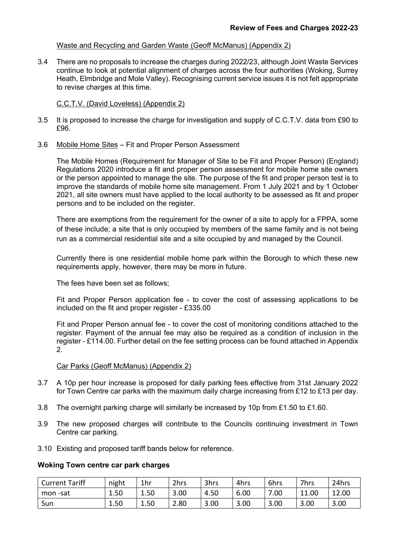### Waste and Recycling and Garden Waste (Geoff McManus) (Appendix 2)

3.4 There are no proposals to increase the charges during 2022/23, although Joint Waste Services continue to look at potential alignment of charges across the four authorities (Woking, Surrey Heath, Elmbridge and Mole Valley). Recognising current service issues it is not felt appropriate to revise charges at this time.

C.C.T.V. (David Loveless) (Appendix 2)

- 3.5 It is proposed to increase the charge for investigation and supply of C.C.T.V. data from £90 to £96.
- 3.6 Mobile Home Sites Fit and Proper Person Assessment

The Mobile Homes (Requirement for Manager of Site to be Fit and Proper Person) (England) Regulations 2020 introduce a fit and proper person assessment for mobile home site owners or the person appointed to manage the site. The purpose of the fit and proper person test is to improve the standards of mobile home site management. From 1 July 2021 and by 1 October 2021, all site owners must have applied to the local authority to be assessed as fit and proper persons and to be included on the register.

There are exemptions from the requirement for the owner of a site to apply for a FPPA, some of these include; a site that is only occupied by members of the same family and is not being run as a commercial residential site and a site occupied by and managed by the Council.

Currently there is one residential mobile home park within the Borough to which these new requirements apply, however, there may be more in future.

The fees have been set as follows;

Fit and Proper Person application fee - to cover the cost of assessing applications to be included on the fit and proper register - £335.00

Fit and Proper Person annual fee - to cover the cost of monitoring conditions attached to the register. Payment of the annual fee may also be required as a condition of inclusion in the register - £114.00. Further detail on the fee setting process can be found attached in Appendix 2.

#### Car Parks (Geoff McManus) (Appendix 2)

- 3.7 A 10p per hour increase is proposed for daily parking fees effective from 31st January 2022 for Town Centre car parks with the maximum daily charge increasing from £12 to £13 per day.
- 3.8 The overnight parking charge will similarly be increased by 10p from £1.50 to £1.60.
- 3.9 The new proposed charges will contribute to the Councils continuing investment in Town Centre car parking.
- 3.10 Existing and proposed tariff bands below for reference.

#### **Woking Town centre car park charges**

| <b>Current Tariff</b> | night | 1hr  | 2hrs | 3hrs | 4hrs | 6hrs | 7hrs  | 24hrs |
|-----------------------|-------|------|------|------|------|------|-------|-------|
| mon -sat              | 1.50  | 1.50 | 3.00 | 4.50 | 6.00 | .00  | 11.00 | 12.00 |
| Sun                   | 1.50  | 1.50 | 2.80 | 3.00 | 3.00 | 3.00 | 3.00  | 3.00  |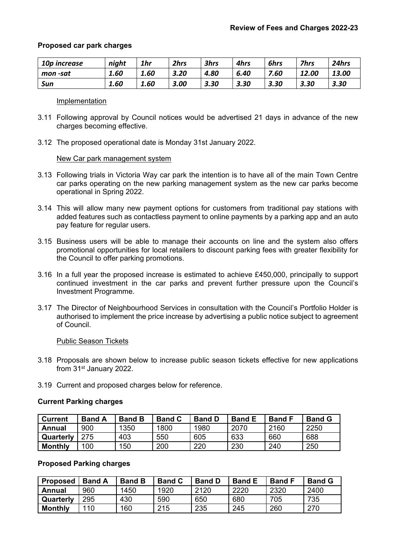## **Proposed car park charges**

| 10p increase | night | 1hr  | 2hrs | 3hrs | 4hrs | 6hrs | <b>7hrs</b> | 24hrs |
|--------------|-------|------|------|------|------|------|-------------|-------|
| mon -sat     | 1.60  | 1.60 | 3.20 | 4.80 | 6.40 | 7.60 | 12.00       | 13.00 |
| Sun          | 1.60  | 1.60 | 3.00 | 3.30 | 3.30 | 3.30 | 3.30        | 3.30  |

#### Implementation

- 3.11 Following approval by Council notices would be advertised 21 days in advance of the new charges becoming effective.
- 3.12 The proposed operational date is Monday 31st January 2022.

#### New Car park management system

- 3.13 Following trials in Victoria Way car park the intention is to have all of the main Town Centre car parks operating on the new parking management system as the new car parks become operational in Spring 2022.
- 3.14 This will allow many new payment options for customers from traditional pay stations with added features such as contactless payment to online payments by a parking app and an auto pay feature for regular users.
- 3.15 Business users will be able to manage their accounts on line and the system also offers promotional opportunities for local retailers to discount parking fees with greater flexibility for the Council to offer parking promotions.
- 3.16 In a full year the proposed increase is estimated to achieve £450,000, principally to support continued investment in the car parks and prevent further pressure upon the Council's Investment Programme.
- 3.17 The Director of Neighbourhood Services in consultation with the Council's Portfolio Holder is authorised to implement the price increase by advertising a public notice subject to agreement of Council.

#### Public Season Tickets

- 3.18 Proposals are shown below to increase public season tickets effective for new applications from 31st January 2022.
- 3.19 Current and proposed charges below for reference.

#### **Current Parking charges**

| <b>Current</b> | <b>Band A</b> | <b>Band B</b> | <b>Band C</b> | <b>Band D</b> | <b>Band E</b> | <b>Band F</b> | <b>Band G</b> |
|----------------|---------------|---------------|---------------|---------------|---------------|---------------|---------------|
| Annual         | 900           | 1350          | 1800          | 1980          | 2070          | 2160          | 2250          |
| Quarterly      | 275           | 403           | 550           | 605           | 633           | 660           | 688           |
| <b>Monthly</b> | 100           | 150           | 200           | 220           | 230           | 240           | 250           |

### **Proposed Parking charges**

| <b>Proposed</b> | <b>Band A</b> | <b>Band B</b> | <b>Band C</b> | <b>Band D</b> | <b>Band E</b> | <b>Band F</b> | <b>Band G</b> |
|-----------------|---------------|---------------|---------------|---------------|---------------|---------------|---------------|
| Annual          | 960           | 1450          | 1920          | 2120          | 2220          | 2320          | 2400          |
| Quarterly       | 295           | 430           | 590           | 650           | 680           | 705           | 735           |
| <b>Monthly</b>  | 110           | 160           | 215           | 235           | 245           | 260           | 270           |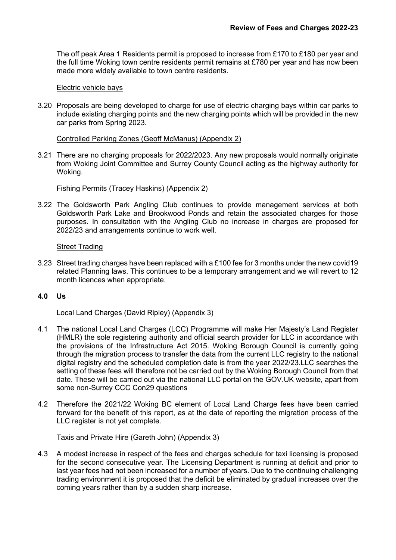The off peak Area 1 Residents permit is proposed to increase from £170 to £180 per year and the full time Woking town centre residents permit remains at £780 per year and has now been made more widely available to town centre residents.

### Electric vehicle bays

3.20 Proposals are being developed to charge for use of electric charging bays within car parks to include existing charging points and the new charging points which will be provided in the new car parks from Spring 2023.

### Controlled Parking Zones (Geoff McManus) (Appendix 2)

3.21 There are no charging proposals for 2022/2023. Any new proposals would normally originate from Woking Joint Committee and Surrey County Council acting as the highway authority for Woking.

## Fishing Permits (Tracey Haskins) (Appendix 2)

3.22 The Goldsworth Park Angling Club continues to provide management services at both Goldsworth Park Lake and Brookwood Ponds and retain the associated charges for those purposes. In consultation with the Angling Club no increase in charges are proposed for 2022/23 and arrangements continue to work well.

## Street Trading

3.23 Street trading charges have been replaced with a £100 fee for 3 months under the new covid19 related Planning laws. This continues to be a temporary arrangement and we will revert to 12 month licences when appropriate.

## **4.0 Us**

#### Local Land Charges (David Ripley) (Appendix 3)

- 4.1 The national Local Land Charges (LCC) Programme will make Her Majesty's Land Register (HMLR) the sole registering authority and official search provider for LLC in accordance with the provisions of the Infrastructure Act 2015. Woking Borough Council is currently going through the migration process to transfer the data from the current LLC registry to the national digital registry and the scheduled completion date is from the year 2022/23.LLC searches the setting of these fees will therefore not be carried out by the Woking Borough Council from that date. These will be carried out via the national LLC portal on the GOV.UK website, apart from some non-Surrey CCC Con29 questions
- 4.2 Therefore the 2021/22 Woking BC element of Local Land Charge fees have been carried forward for the benefit of this report, as at the date of reporting the migration process of the LLC register is not yet complete.

#### Taxis and Private Hire (Gareth John) (Appendix 3)

4.3 A modest increase in respect of the fees and charges schedule for taxi licensing is proposed for the second consecutive year. The Licensing Department is running at deficit and prior to last year fees had not been increased for a number of years. Due to the continuing challenging trading environment it is proposed that the deficit be eliminated by gradual increases over the coming years rather than by a sudden sharp increase.